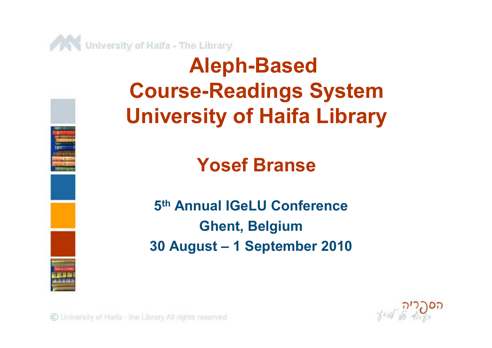



### **Yosef Branse**

**5 th Annual IGeLU Conference Ghent, Belgium 30 August – 1 September 2010**



C University of Haifa - the Library All rights reserved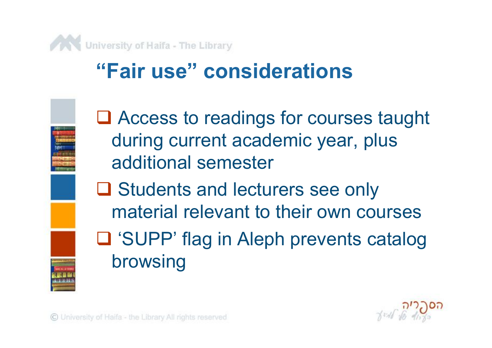

## **"Fair use" considerations**



**□ Access to readings for courses taught** during current academic year, plus additional semester

**□ Students and lecturers see only** material relevant to their own courses ■ 'SUPP' flag in Aleph prevents catalog browsing

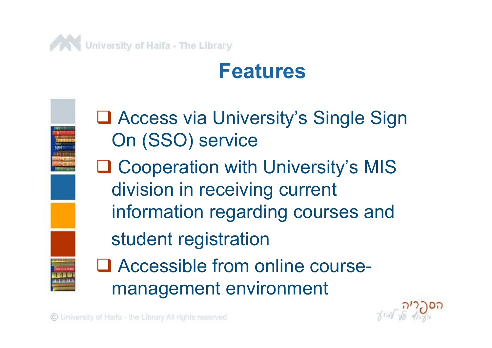

## **Features**



**□ Access via University's Single Sign** On (SSO) service

**□ Cooperation with University's MIS** division in receiving current information regarding courses and

student registration

□ Accessible from online coursemanagement environment

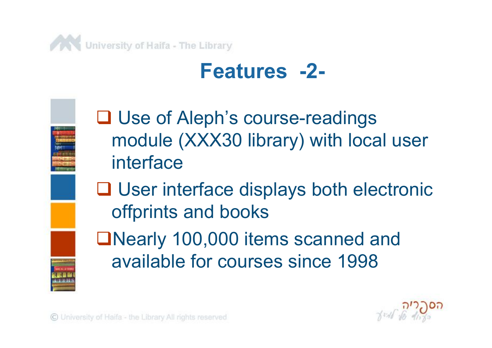

## **Features -2-**



**□ Use of Aleph's course-readings** module (XXX30 library) with local user interface

**□ User interface displays both electronic** offprints and books

■Nearly 100,000 items scanned and available for courses since 1998

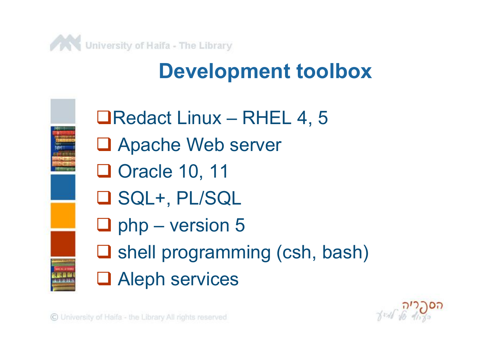

## **Development toolbox**



■Redact Linux – RHEL 4, 5 ■ Apache Web server □ Oracle 10, 11 SQL+, PL/SQL  $\Box$  php – version 5  $\square$  shell programming (csh, bash) **Q** Aleph services

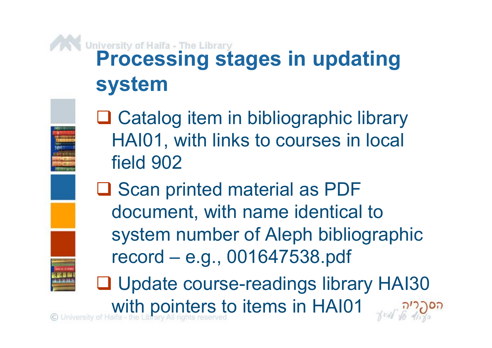## **Processing stages in updating system**

**□ Catalog item in bibliographic library** HAI01, with links to courses in local field 902

**□ Scan printed material as PDF** document, with name identical to system number of Aleph bibliographic record – e.g., 001647538.pdf

□ Update course-readings library HAI30 with pointers to items in HAI01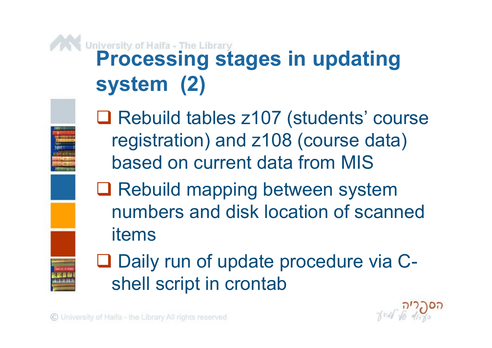## **Processing stages in updating system (2)**

■ Rebuild tables z107 (students' course registration) and z108 (course data) based on current data from MIS

**□ Rebuild mapping between system** numbers and disk location of scanned items



■ Daily run of update procedure via Cshell script in crontab

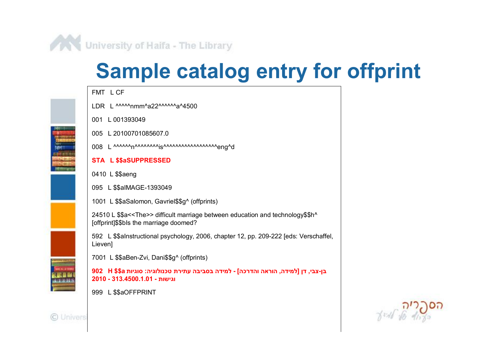

## **Sample catalog entry for offprint**

FMT L CF

- IDR I MAAAnmmAa22AAAAAA44500
- 001 L 001393049
- 005 L 20100701085607.0
- 008 L AAAAAAnAAAAAAAjsAAAAAAAAAAAAAAAAAAAGnqAd

#### **STA L \$\$aSUPPRESSED**

- 0410 L \$\$aeng
- 095 L \$\$alMAGE-1393049
- 1001 L \$\$aSalomon, Gavriel\$\$g^ (offprints)

24510 L \$\$a<<The>> difficult marriage between education and technology\$\$h^ [offprint]\$\$bls the marriage doomed?

592 L \$\$alnstructional psychology, 2006, chapter 12, pp. 209-222 [eds: Verschaffel, Lieven]

7001 L \$\$aBen-Zvi, Dani\$\$g^ (offprints)

בן-צבי, דן [למידה, הוראה והדרכה] - למידה בסביבה עתירת טכנולוגיה: סוגיות H \$\$a 902 H וגישות - 2010.1.01-2010

999 L \$\$aOFFPRINT





C Univers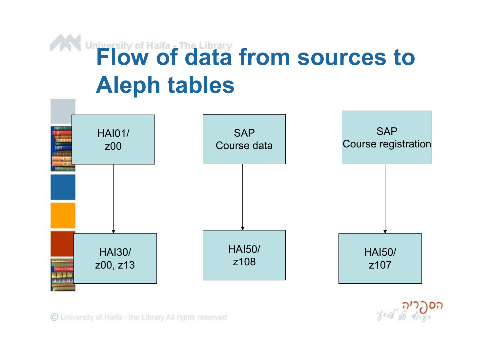# **Flow of data from sources to Aleph tables**



C University of Haifa - the Library All rights reserved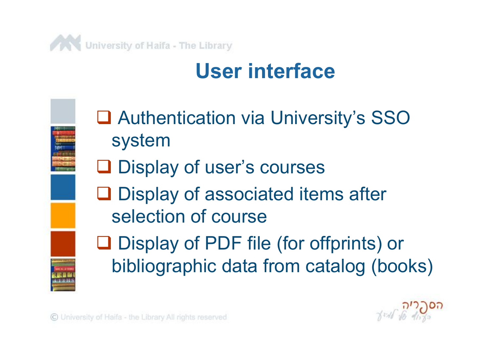

## **User interface**



■ Authentication via University's SSO system

**□** Display of user's courses

**Q** Display of associated items after selection of course

■ Display of PDF file (for offprints) or bibliographic data from catalog (books)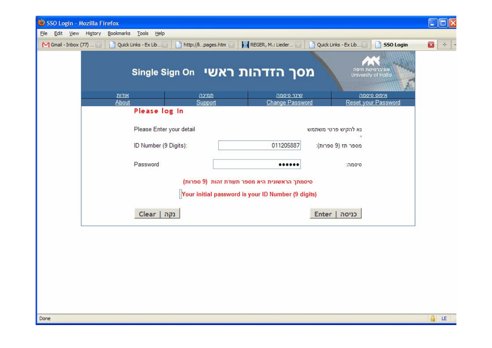| SSO Login - Mozilla Firefox                   |                                                                         |                                                       |                                                                             | $\  \Box \  \times$                  |  |  |
|-----------------------------------------------|-------------------------------------------------------------------------|-------------------------------------------------------|-----------------------------------------------------------------------------|--------------------------------------|--|--|
| File Edit View History Bookmarks Tools Help   |                                                                         |                                                       |                                                                             |                                      |  |  |
|                                               | M Gmail - Inbox (77) <b>19   Quick Links</b> - Ex Lib <b>19   Quick</b> | http://lipages.htm                                    | REGER, M.: Lieder <b>2014</b> Quick Links - Ex Lib<br><b>SSO Login</b><br>٦ | $\mathbf{z}$<br>$\frac{1}{2} \sigma$ |  |  |
|                                               |                                                                         | מסך הזדהות ראשי Single Sign On                        | אוניברסיטת חיפה<br>University of Haifa                                      |                                      |  |  |
|                                               | <u>אודות</u>                                                            | שינוי סיסמה<br><u>תמיכה</u><br><b>Change Password</b> | איפוס סיסמה<br>Reset your Password                                          |                                      |  |  |
|                                               | About<br>Please log In                                                  | Support                                               |                                                                             |                                      |  |  |
|                                               |                                                                         |                                                       |                                                                             |                                      |  |  |
|                                               | Please Enter your detail                                                |                                                       | נא להקיש פרטי משתמש                                                         |                                      |  |  |
|                                               |                                                                         |                                                       | מספר תז (9 ספרות):                                                          |                                      |  |  |
|                                               | ID Number (9 Digits):                                                   | 011205887                                             |                                                                             |                                      |  |  |
|                                               | Password                                                                |                                                       | סיסמה:                                                                      |                                      |  |  |
| סיסמתך הראשונית היא מספר תעודת זהות (9 ספרות) |                                                                         |                                                       |                                                                             |                                      |  |  |
|                                               | Your initial password is your ID Number (9 digits)                      |                                                       |                                                                             |                                      |  |  |
|                                               | נקה   Clear                                                             |                                                       | כניסה   Enter                                                               |                                      |  |  |
|                                               |                                                                         |                                                       |                                                                             |                                      |  |  |
|                                               |                                                                         |                                                       |                                                                             |                                      |  |  |
|                                               |                                                                         |                                                       |                                                                             |                                      |  |  |
|                                               |                                                                         |                                                       |                                                                             |                                      |  |  |
|                                               |                                                                         |                                                       |                                                                             |                                      |  |  |
|                                               |                                                                         |                                                       |                                                                             |                                      |  |  |
|                                               |                                                                         |                                                       |                                                                             |                                      |  |  |
|                                               |                                                                         |                                                       |                                                                             |                                      |  |  |

 $\left|\frac{\Delta}{\Delta t}\right|$  LE $\left| \frac{\Delta}{\Delta t} \right|$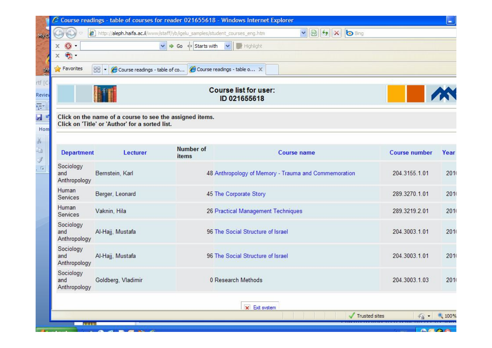|                                    |                                                                                                             | http://aleph.haifa.ac.il/www/staff/yb/igelu_samples/student_courses_eng.htm | $\frac{1}{2}$<br><b>O</b> Bing<br>$\vert x \vert$    |               |      |
|------------------------------------|-------------------------------------------------------------------------------------------------------------|-----------------------------------------------------------------------------|------------------------------------------------------|---------------|------|
| x                                  |                                                                                                             | Starts with V Highlight<br>$\checkmark$                                     |                                                      |               |      |
| $\circledcirc$<br>$\bullet$ .<br>x |                                                                                                             |                                                                             |                                                      |               |      |
| <b>Favorites</b>                   | 88 - Course readings - table of co                                                                          | Course readings - table o X                                                 |                                                      |               |      |
|                                    |                                                                                                             |                                                                             |                                                      |               |      |
|                                    |                                                                                                             |                                                                             | <b>Course list for user:</b><br>ID 021655618         |               |      |
|                                    | Click on the name of a course to see the assigned items.<br>Click on 'Title' or 'Author' for a sorted list. |                                                                             |                                                      |               |      |
| <b>Department</b>                  | Lecturer                                                                                                    | <b>Number of</b><br>items                                                   | <b>Course name</b>                                   | Course number | Year |
| Sociology<br>and<br>Anthropology   | Bernstein, Karl                                                                                             |                                                                             | 48 Anthropology of Memory - Trauma and Commemoration | 204.3155.1.01 | 201  |
| Human<br>Services                  | Berger, Leonard                                                                                             |                                                                             | 45 The Corporate Story                               | 289.3270.1.01 | 201  |
| Human<br><b>Services</b>           | Vaknin, Hila                                                                                                |                                                                             | 26 Practical Management Techniques                   | 289.3219.2.01 | 201  |
| Sociology<br>and<br>Anthropology   | Al-Hajj, Mustafa                                                                                            |                                                                             | 96 The Social Structure of Israel                    | 204.3003.1.01 | 201  |
| Sociology<br>and<br>Anthropology   | Al-Hajj, Mustafa                                                                                            |                                                                             | 96 The Social Structure of Israel                    | 204.3003.1.01 | 2011 |
| Sociology                          | Goldberg, Vladimir                                                                                          |                                                                             | 0 Research Methods                                   | 204.3003.1.03 | 201( |
| and<br>Anthropology                |                                                                                                             |                                                                             |                                                      |               |      |
|                                    |                                                                                                             |                                                                             | x Exit system                                        |               |      |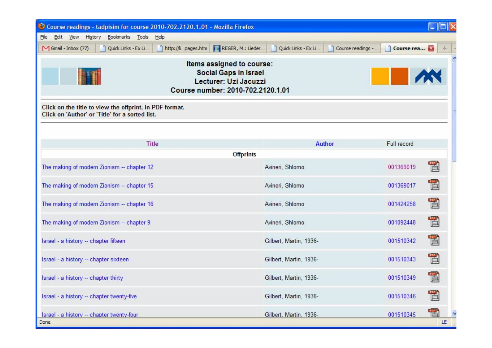| Course readings - tadpisim for course 2010-702.2120.1.01 - Mozilla Firefox                                              |                                               |                 |  |  |  |  |  |  |
|-------------------------------------------------------------------------------------------------------------------------|-----------------------------------------------|-----------------|--|--|--|--|--|--|
| Edit View History Bookmarks Tools Help<br>Eile                                                                          |                                               |                 |  |  |  |  |  |  |
| http://lipages.htm   REGER, M.: Lieder<br>M Gmail - Inbox (77)<br>Quick Links - Ex Li                                   | Quick Links - Ex Li<br>Course readings -<br>H | Course rea<br>÷ |  |  |  |  |  |  |
| Items assigned to course:<br><b>Social Gaps in Israel</b><br>Lecturer: Uzi Jacuzzi<br>Course number: 2010-702.2120.1.01 |                                               |                 |  |  |  |  |  |  |
| Click on the title to view the offprint, in PDF format.<br>Click on 'Author' or 'Title' for a sorted list.              |                                               |                 |  |  |  |  |  |  |
| <b>Title</b>                                                                                                            | <b>Author</b>                                 | Full record     |  |  |  |  |  |  |
| <b>Offprints</b>                                                                                                        |                                               |                 |  |  |  |  |  |  |
| The making of modern Zionism -- chapter 12                                                                              | Avineri, Shlomo                               | 001369019       |  |  |  |  |  |  |
| The making of modern Zionism -- chapter 15                                                                              | Avineri, Shlomo                               | Ë<br>001369017  |  |  |  |  |  |  |
| The making of modern Zionism -- chapter 16                                                                              | Avineri, Shlomo                               | 置<br>001424258  |  |  |  |  |  |  |
| The making of modern Zionism -- chapter 9                                                                               | Avineri, Shlomo                               | 置<br>001092448  |  |  |  |  |  |  |
| Israel - a history -- chapter fifteen                                                                                   | Gilbert, Martin, 1936-                        | E<br>001510342  |  |  |  |  |  |  |
| Israel - a history -- chapter sixteen                                                                                   | Gilbert, Martin, 1936-                        | Ë<br>001510343  |  |  |  |  |  |  |
| Israel - a history -- chapter thirty                                                                                    | Gilbert, Martin, 1936-                        | 001510349       |  |  |  |  |  |  |
| Israel - a history -- chapter twenty-five                                                                               | Gilbert, Martin, 1936-                        | 001510346       |  |  |  |  |  |  |
| Israel - a history -- chapter twenty-four<br>Done                                                                       | Gilbert, Martin, 1936-                        | 001510345<br>LE |  |  |  |  |  |  |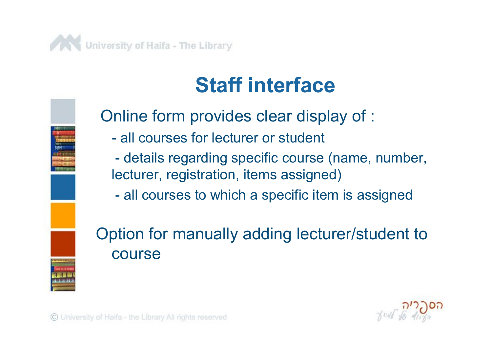



## **Staff interface**

Online form provides clear display of :

- all courses for lecturer or student

- details regarding specific course (name, number, lecturer, registration, items assigned)

- all courses to which a specific item is assigned

#### Option for manually adding lecturer/student to course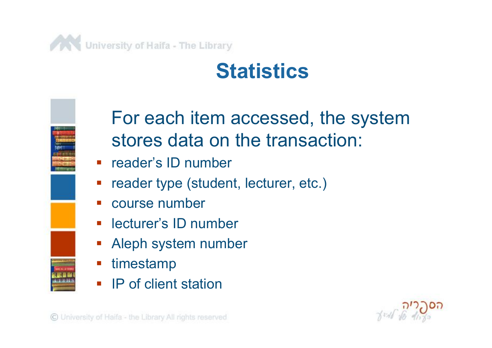

## **Statistics**



#### For each item accessed, the system stores data on the transaction:

- **F** reader's ID number
- reader type (student, lecturer, etc.)
- course number
- lecturer's ID number
- Aleph system number
- timestamp
- **IP** of client station

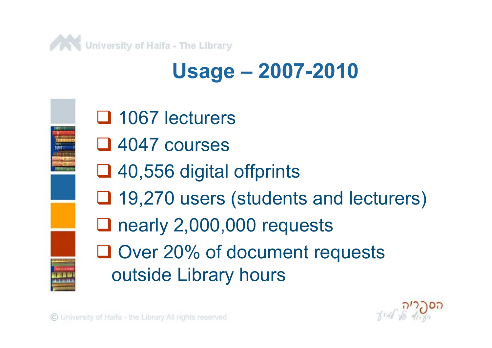

## **Usage – 2007-2010**



- □ 1067 lecturers
- □ 4047 courses
- **□ 40,556 digital offprints**
- **□ 19,270 users (students and lecturers)**
- nearly 2,000,000 requests
- **□ Over 20% of document requests** outside Library hours

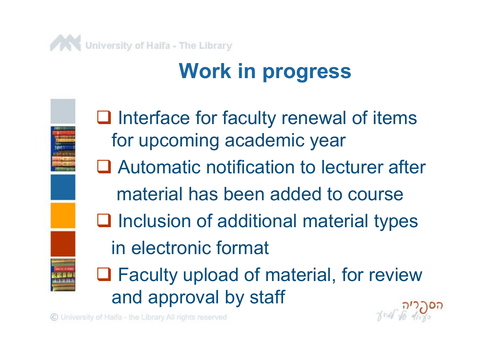

## **Work in progress**



 $\Box$  Interface for faculty renewal of items for upcoming academic year □ Automatic notification to lecturer after material has been added to course  $\Box$  Inclusion of additional material types in electronic format

**□ Faculty upload of material, for review** and approval by staff

C University of Haifa - the Library All rights reserved